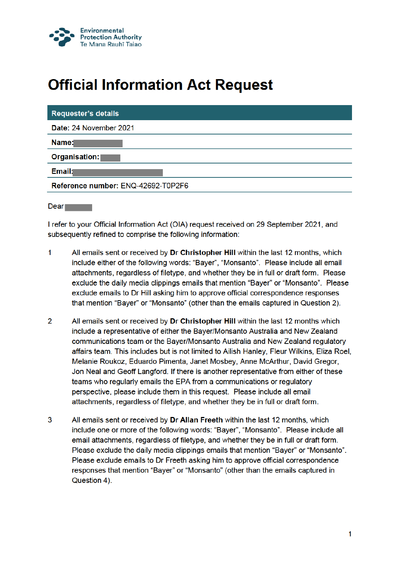

## **Official Information Act Request**

| <b>Requester's details</b>         |
|------------------------------------|
| Date: 24 November 2021             |
| Name:                              |
| Organisation:                      |
| Email:                             |
| Reference number: ENQ-42692-T0P2F6 |
|                                    |

**Dear** 

I refer to your Official Information Act (OIA) request received on 29 September 2021, and subsequently refined to comprise the following information:

- 1 All emails sent or received by Dr Christopher Hill within the last 12 months, which include either of the following words: "Bayer", "Monsanto". Please include all email attachments, regardless of filetype, and whether they be in full or draft form. Please exclude the daily media clippings emails that mention "Bayer" or "Monsanto". Please exclude emails to Dr Hill asking him to approve official correspondence responses that mention "Bayer" or "Monsanto" (other than the emails captured in Question 2).
- $\overline{2}$ All emails sent or received by Dr Christopher Hill within the last 12 months which include a representative of either the Bayer/Monsanto Australia and New Zealand communications team or the Bayer/Monsanto Australia and New Zealand regulatory affairs team. This includes but is not limited to Ailish Hanley, Fleur Wilkins, Eliza Roel, Melanie Roukoz, Eduardo Pimenta, Janet Mosbey, Anne McArthur, David Gregor, Jon Neal and Geoff Langford. If there is another representative from either of these teams who regularly emails the EPA from a communications or regulatory perspective, please include them in this request. Please include all email attachments, regardless of filetype, and whether they be in full or draft form.
- 3 All emails sent or received by Dr Allan Freeth within the last 12 months, which include one or more of the following words: "Bayer", "Monsanto". Please include all email attachments, regardless of filetype, and whether they be in full or draft form. Please exclude the daily media clippings emails that mention "Bayer" or "Monsanto". Please exclude emails to Dr Freeth asking him to approve official correspondence responses that mention "Bayer" or "Monsanto" (other than the emails captured in Question 4).